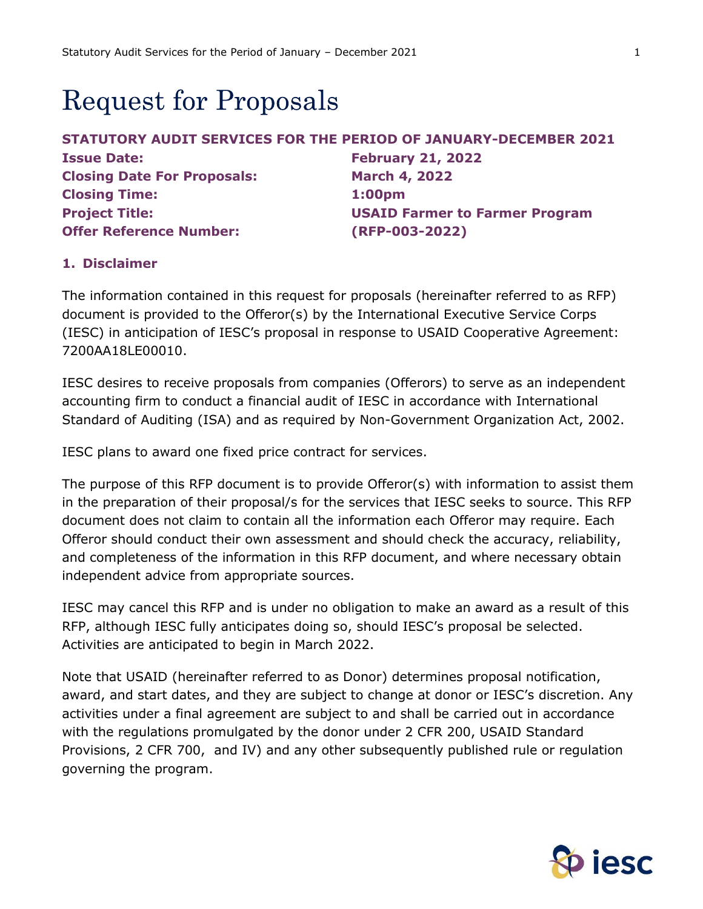# **Request for Proposals**

| STATUTORY AUDIT SERVICES FOR THE PERIOD OF JANUARY-DECEMBER 2021 |                                       |
|------------------------------------------------------------------|---------------------------------------|
| <b>Issue Date:</b>                                               | <b>February 21, 2022</b>              |
| <b>Closing Date For Proposals:</b>                               | <b>March 4, 2022</b>                  |
| <b>Closing Time:</b>                                             | 1:00 <sub>pm</sub>                    |
| <b>Project Title:</b>                                            | <b>USAID Farmer to Farmer Program</b> |
| <b>Offer Reference Number:</b>                                   | (RFP-003-2022)                        |

## **1. Disclaimer**

The information contained in this request for proposals (hereinafter referred to as RFP) document is provided to the Offeror(s) by the International Executive Service Corps (IESC) in anticipation of IESC's proposal in response to USAID Cooperative Agreement: 7200AA18LE00010.

IESC desires to receive proposals from companies (Offerors) to serve as an independent accounting firm to conduct a financial audit of IESC in accordance with International Standard of Auditing (ISA) and as required by Non-Government Organization Act, 2002.

IESC plans to award one fixed price contract for services.

The purpose of this RFP document is to provide Offeror(s) with information to assist them in the preparation of their proposal/s for the services that IESC seeks to source. This RFP document does not claim to contain all the information each Offeror may require. Each Offeror should conduct their own assessment and should check the accuracy, reliability, and completeness of the information in this RFP document, and where necessary obtain independent advice from appropriate sources.

IESC may cancel this RFP and is under no obligation to make an award as a result of this RFP, although IESC fully anticipates doing so, should IESC's proposal be selected. Activities are anticipated to begin in March 2022.

Note that USAID (hereinafter referred to as Donor) determines proposal notification, award, and start dates, and they are subject to change at donor or IESC's discretion. Any activities under a final agreement are subject to and shall be carried out in accordance with the regulations promulgated by the donor under 2 CFR 200, USAID Standard Provisions, 2 CFR 700, and IV) and any other subsequently published rule or regulation governing the program.

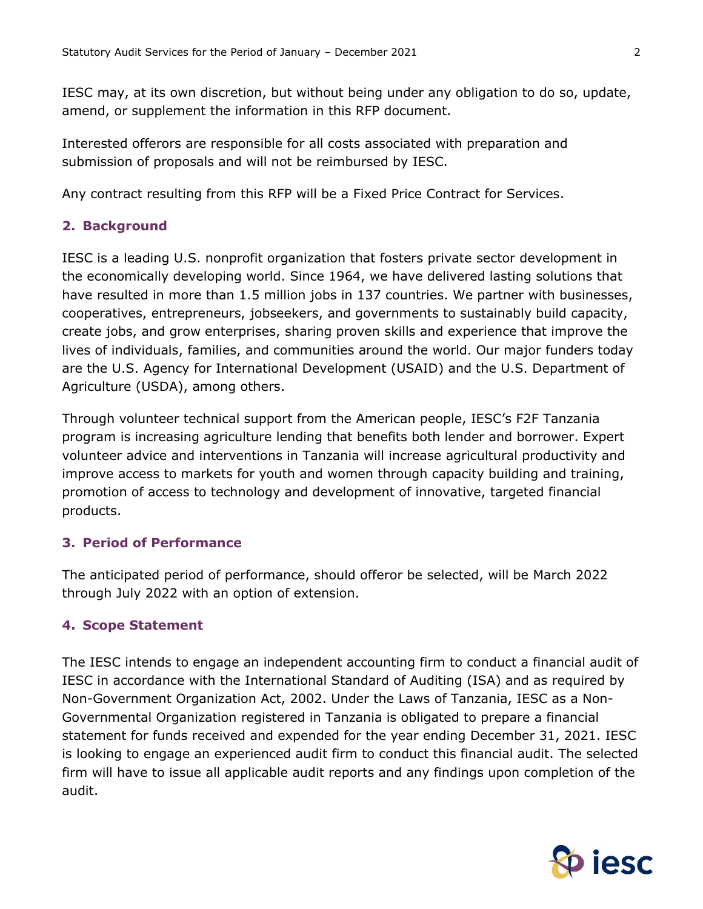IESC may, at its own discretion, but without being under any obligation to do so, update, amend, or supplement the information in this RFP document.

Interested offerors are responsible for all costs associated with preparation and submission of proposals and will not be reimbursed by IESC.

Any contract resulting from this RFP will be a Fixed Price Contract for Services.

## **2. Background**

IESC is a leading U.S. nonprofit organization that fosters private sector development in the economically developing world. Since 1964, we have delivered lasting solutions that have resulted in more than 1.5 million jobs in 137 countries. We partner with businesses, cooperatives, entrepreneurs, jobseekers, and governments to sustainably build capacity, create jobs, and grow enterprises, sharing proven skills and experience that improve the lives of individuals, families, and communities around the world. Our major funders today are the U.S. Agency for International Development (USAID) and the U.S. Department of Agriculture (USDA), among others.

Through volunteer technical support from the American people, IESC's F2F Tanzania program is increasing agriculture lending that benefits both lender and borrower. Expert volunteer advice and interventions in Tanzania will increase agricultural productivity and improve access to markets for youth and women through capacity building and training, promotion of access to technology and development of innovative, targeted financial products.

## **3. Period of Performance**

The anticipated period of performance, should offeror be selected, will be March 2022 through July 2022 with an option of extension.

## **4. Scope Statement**

The IESC intends to engage an independent accounting firm to conduct a financial audit of IESC in accordance with the International Standard of Auditing (ISA) and as required by Non-Government Organization Act, 2002. Under the Laws of Tanzania, IESC as a Non-Governmental Organization registered in Tanzania is obligated to prepare a financial statement for funds received and expended for the year ending December 31, 2021. IESC is looking to engage an experienced audit firm to conduct this financial audit. The selected firm will have to issue all applicable audit reports and any findings upon completion of the audit.

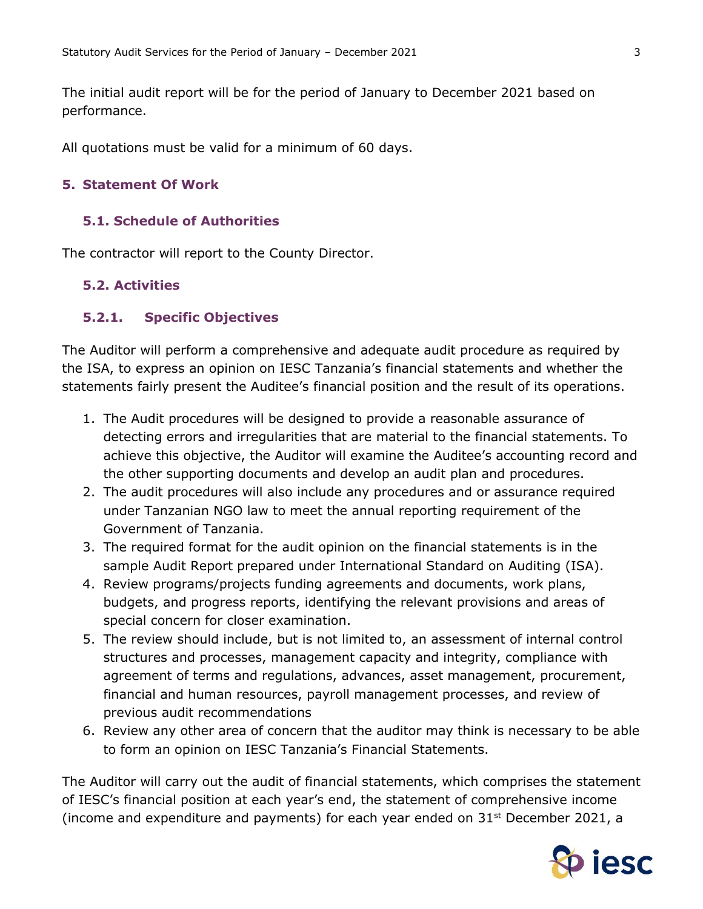The initial audit report will be for the period of January to December 2021 based on performance.

All quotations must be valid for a minimum of 60 days.

## **5. Statement Of Work**

## **5.1. Schedule of Authorities**

The contractor will report to the County Director.

## **5.2. Activities**

#### **5.2.1. Specific Objectives**

The Auditor will perform a comprehensive and adequate audit procedure as required by the ISA, to express an opinion on IESC Tanzania's financial statements and whether the statements fairly present the Auditee's financial position and the result of its operations.

- 1. The Audit procedures will be designed to provide a reasonable assurance of detecting errors and irregularities that are material to the financial statements. To achieve this objective, the Auditor will examine the Auditee's accounting record and the other supporting documents and develop an audit plan and procedures.
- 2. The audit procedures will also include any procedures and or assurance required under Tanzanian NGO law to meet the annual reporting requirement of the Government of Tanzania.
- 3. The required format for the audit opinion on the financial statements is in the sample Audit Report prepared under International Standard on Auditing (ISA).
- 4. Review programs/projects funding agreements and documents, work plans, budgets, and progress reports, identifying the relevant provisions and areas of special concern for closer examination.
- 5. The review should include, but is not limited to, an assessment of internal control structures and processes, management capacity and integrity, compliance with agreement of terms and regulations, advances, asset management, procurement, financial and human resources, payroll management processes, and review of previous audit recommendations
- 6. Review any other area of concern that the auditor may think is necessary to be able to form an opinion on IESC Tanzania's Financial Statements.

The Auditor will carry out the audit of financial statements, which comprises the statement of IESC's financial position at each year's end, the statement of comprehensive income (income and expenditure and payments) for each year ended on  $31<sup>st</sup>$  December 2021, a

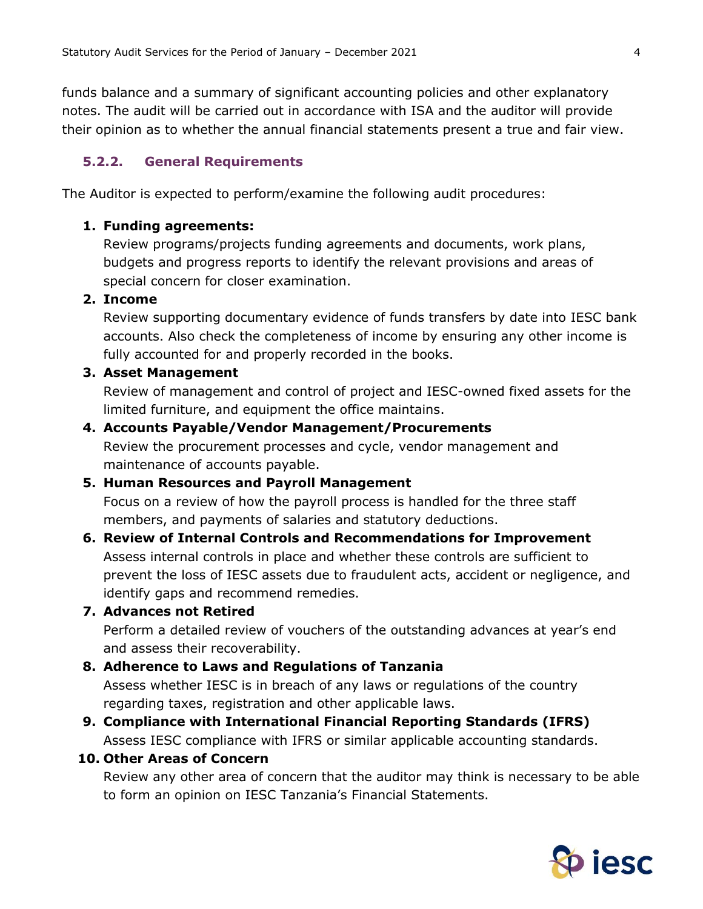funds balance and a summary of significant accounting policies and other explanatory notes. The audit will be carried out in accordance with ISA and the auditor will provide their opinion as to whether the annual financial statements present a true and fair view.

#### **5.2.2. General Requirements**

The Auditor is expected to perform/examine the following audit procedures:

#### **1. Funding agreements:**

Review programs/projects funding agreements and documents, work plans, budgets and progress reports to identify the relevant provisions and areas of special concern for closer examination.

#### **2. Income**

Review supporting documentary evidence of funds transfers by date into IESC bank accounts. Also check the completeness of income by ensuring any other income is fully accounted for and properly recorded in the books.

#### **3. Asset Management**

Review of management and control of project and IESC-owned fixed assets for the limited furniture, and equipment the office maintains.

#### **4. Accounts Payable/Vendor Management/Procurements**

Review the procurement processes and cycle, vendor management and maintenance of accounts payable.

#### **5. Human Resources and Payroll Management**

Focus on a review of how the payroll process is handled for the three staff members, and payments of salaries and statutory deductions.

# **6. Review of Internal Controls and Recommendations for Improvement**

Assess internal controls in place and whether these controls are sufficient to prevent the loss of IESC assets due to fraudulent acts, accident or negligence, and identify gaps and recommend remedies.

#### **7. Advances not Retired**

Perform a detailed review of vouchers of the outstanding advances at year's end and assess their recoverability.

#### **8. Adherence to Laws and Regulations of Tanzania**

Assess whether IESC is in breach of any laws or regulations of the country regarding taxes, registration and other applicable laws.

## **9. Compliance with International Financial Reporting Standards (IFRS)** Assess IESC compliance with IFRS or similar applicable accounting standards.

#### **10. Other Areas of Concern**

Review any other area of concern that the auditor may think is necessary to be able to form an opinion on IESC Tanzania's Financial Statements.

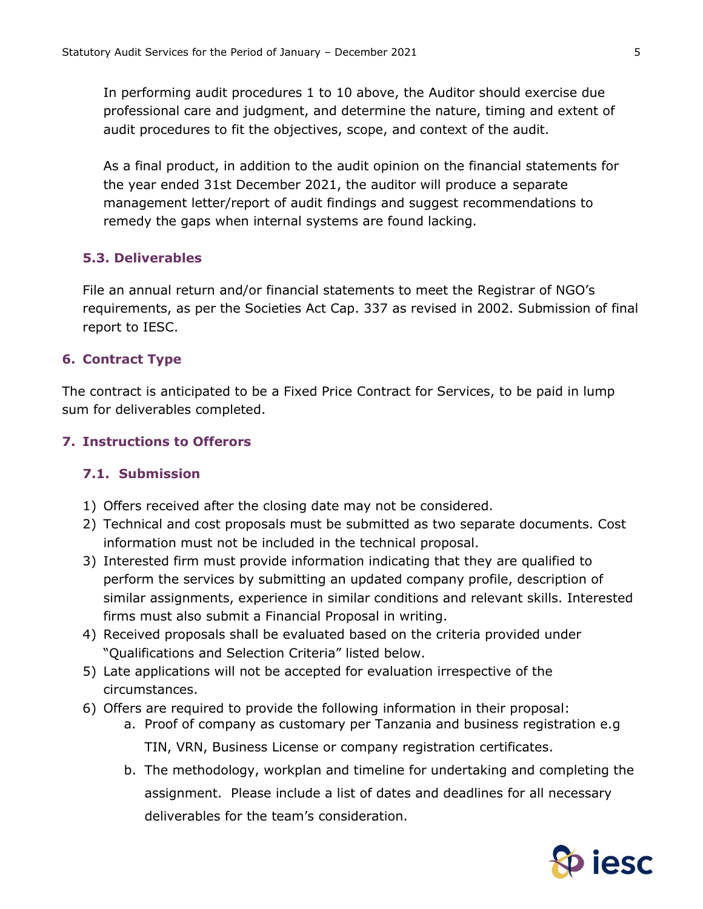In performing audit procedures 1 to 10 above, the Auditor should exercise due professional care and judgment, and determine the nature, timing and extent of audit procedures to fit the objectives, scope, and context of the audit.

As a final product, in addition to the audit opinion on the financial statements for the year ended 31st December 2021, the auditor will produce a separate management letter/report of audit findings and suggest recommendations to remedy the gaps when internal systems are found lacking.

## **5.3. Deliverables**

File an annual return and/or financial statements to meet the Registrar of NGO's requirements, as per the Societies Act Cap. 337 as revised in 2002. Submission of final report to IESC.

## **6. Contract Type**

The contract is anticipated to be a Fixed Price Contract for Services, to be paid in lump sum for deliverables completed.

## **7. Instructions to Offerors**

## **7.1. Submission**

- 1) Offers received after the closing date may not be considered.
- 2) Technical and cost proposals must be submitted as two separate documents. Cost information must not be included in the technical proposal.
- 3) Interested firm must provide information indicating that they are qualified to perform the services by submitting an updated company profile, description of similar assignments, experience in similar conditions and relevant skills. Interested firms must also submit a Financial Proposal in writing.
- 4) Received proposals shall be evaluated based on the criteria provided under "Qualifications and Selection Criteria" listed below.
- 5) Late applications will not be accepted for evaluation irrespective of the circumstances.
- 6) Offers are required to provide the following information in their proposal:
	- a. Proof of company as customary per Tanzania and business registration e.g TIN, VRN, Business License or company registration certificates.
	- b. The methodology, workplan and timeline for undertaking and completing the assignment. Please include a list of dates and deadlines for all necessary deliverables for the team's consideration.

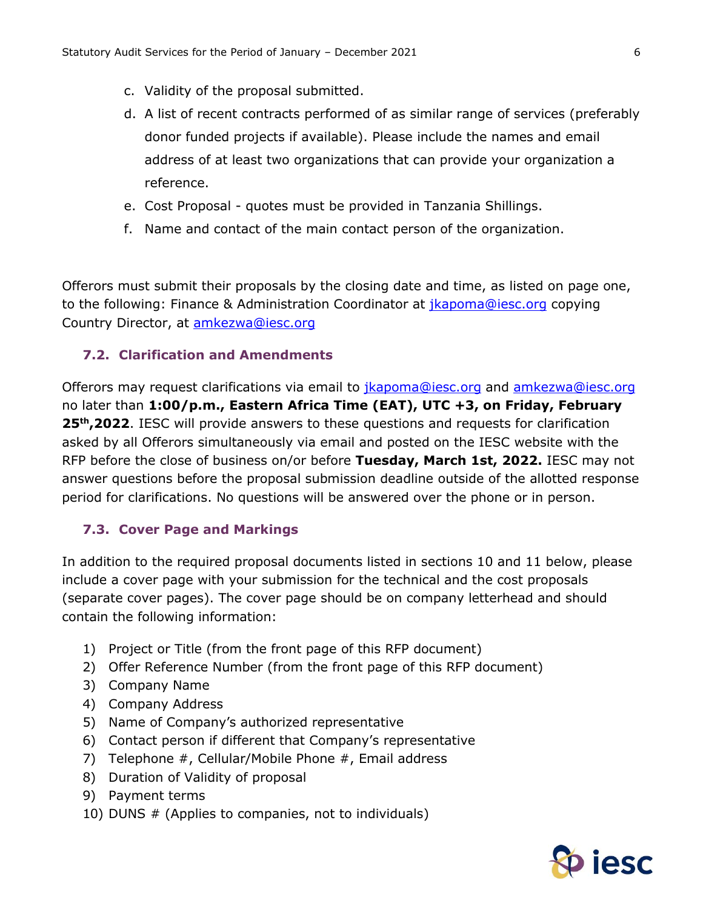- c. Validity of the proposal submitted.
- d. A list of recent contracts performed of as similar range of services (preferably donor funded projects if available). Please include the names and email address of at least two organizations that can provide your organization a reference.
- e. Cost Proposal quotes must be provided in Tanzania Shillings.
- f. Name and contact of the main contact person of the organization.

Offerors must submit their proposals by the closing date and time, as listed on page one, to the following: Finance & Administration Coordinator at *jkapoma@iesc.org* copying Country Director, at **amkezwa@iesc.org** 

## **7.2. Clarification and Amendments**

Offerors may request clarifications via email to *jkapoma@iesc.org* and **amkezwa@iesc.org** no later than **1:00/p.m., Eastern Africa Time (EAT), UTC +3, on Friday, February 25th ,2022**. IESC will provide answers to these questions and requests for clarification asked by all Offerors simultaneously via email and posted on the IESC website with the RFP before the close of business on/or before **Tuesday, March 1st, 2022.** IESC may not answer questions before the proposal submission deadline outside of the allotted response period for clarifications. No questions will be answered over the phone or in person.

## **7.3. Cover Page and Markings**

In addition to the required proposal documents listed in sections 10 and 11 below, please include a cover page with your submission for the technical and the cost proposals (separate cover pages). The cover page should be on company letterhead and should contain the following information:

- 1) Project or Title (from the front page of this RFP document)
- 2) Offer Reference Number (from the front page of this RFP document)
- 3) Company Name
- 4) Company Address
- 5) Name of Company's authorized representative
- 6) Contact person if different that Company's representative
- 7) Telephone #, Cellular/Mobile Phone #, Email address
- 8) Duration of Validity of proposal
- 9) Payment terms
- 10) DUNS # (Applies to companies, not to individuals)

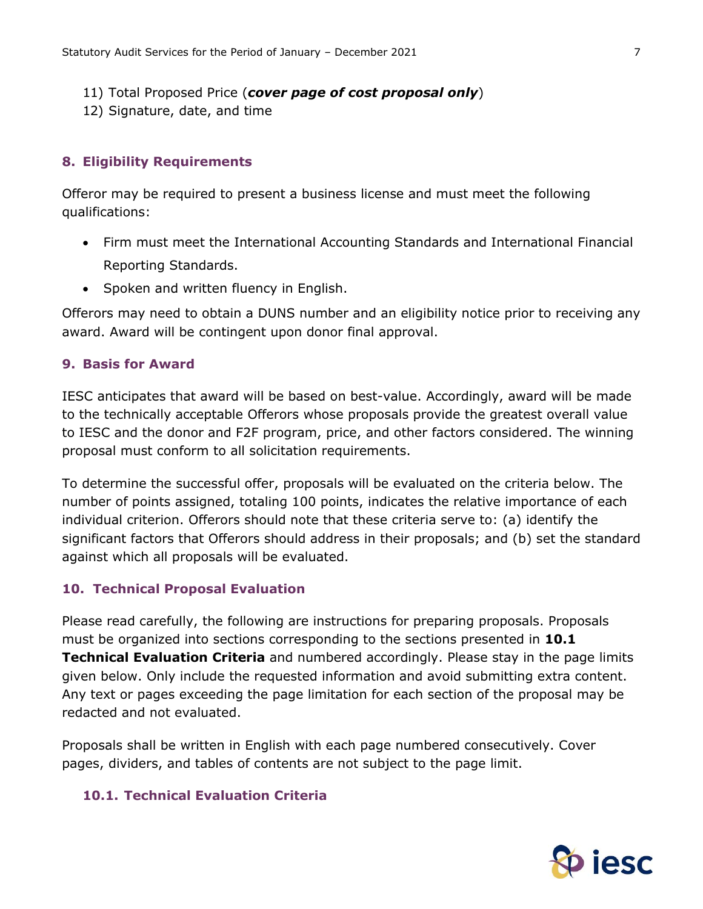- 11) Total Proposed Price (*cover page of cost proposal only*)
- 12) Signature, date, and time

## **8. Eligibility Requirements**

Offeror may be required to present a business license and must meet the following qualifications:

- Firm must meet the International Accounting Standards and International Financial Reporting Standards.
- Spoken and written fluency in English.

Offerors may need to obtain a DUNS number and an eligibility notice prior to receiving any award. Award will be contingent upon donor final approval.

#### **9. Basis for Award**

IESC anticipates that award will be based on best-value. Accordingly, award will be made to the technically acceptable Offerors whose proposals provide the greatest overall value to IESC and the donor and F2F program, price, and other factors considered. The winning proposal must conform to all solicitation requirements.

To determine the successful offer, proposals will be evaluated on the criteria below. The number of points assigned, totaling 100 points, indicates the relative importance of each individual criterion. Offerors should note that these criteria serve to: (a) identify the significant factors that Offerors should address in their proposals; and (b) set the standard against which all proposals will be evaluated.

## **10. Technical Proposal Evaluation**

Please read carefully, the following are instructions for preparing proposals. Proposals must be organized into sections corresponding to the sections presented in **10.1 Technical Evaluation Criteria** and numbered accordingly. Please stay in the page limits given below. Only include the requested information and avoid submitting extra content. Any text or pages exceeding the page limitation for each section of the proposal may be redacted and not evaluated.

Proposals shall be written in English with each page numbered consecutively. Cover pages, dividers, and tables of contents are not subject to the page limit.

### **10.1. Technical Evaluation Criteria**

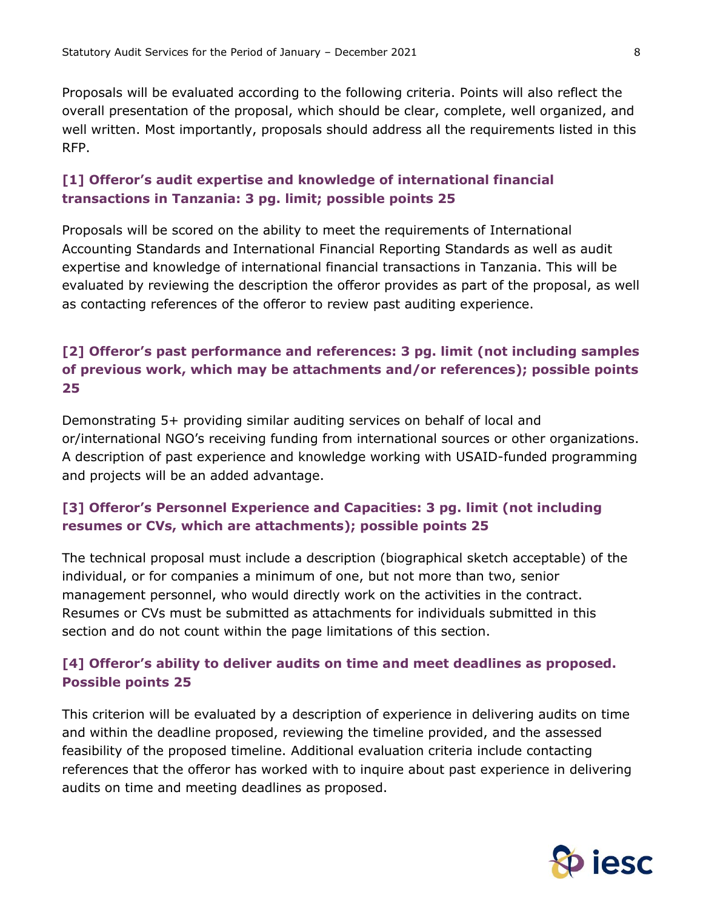Proposals will be evaluated according to the following criteria. Points will also reflect the overall presentation of the proposal, which should be clear, complete, well organized, and well written. Most importantly, proposals should address all the requirements listed in this RFP.

# **[1] Offeror's audit expertise and knowledge of international financial transactions in Tanzania: 3 pg. limit; possible points 25**

Proposals will be scored on the ability to meet the requirements of International Accounting Standards and International Financial Reporting Standards as well as audit expertise and knowledge of international financial transactions in Tanzania. This will be evaluated by reviewing the description the offeror provides as part of the proposal, as well as contacting references of the offeror to review past auditing experience.

# **[2] Offeror's past performance and references: 3 pg. limit (not including samples of previous work, which may be attachments and/or references); possible points 25**

Demonstrating 5+ providing similar auditing services on behalf of local and or/international NGO's receiving funding from international sources or other organizations. A description of past experience and knowledge working with USAID-funded programming and projects will be an added advantage.

# **[3] Offeror's Personnel Experience and Capacities: 3 pg. limit (not including resumes or CVs, which are attachments); possible points 25**

The technical proposal must include a description (biographical sketch acceptable) of the individual, or for companies a minimum of one, but not more than two, senior management personnel, who would directly work on the activities in the contract. Resumes or CVs must be submitted as attachments for individuals submitted in this section and do not count within the page limitations of this section.

# **[4] Offeror's ability to deliver audits on time and meet deadlines as proposed. Possible points 25**

This criterion will be evaluated by a description of experience in delivering audits on time and within the deadline proposed, reviewing the timeline provided, and the assessed feasibility of the proposed timeline. Additional evaluation criteria include contacting references that the offeror has worked with to inquire about past experience in delivering audits on time and meeting deadlines as proposed.

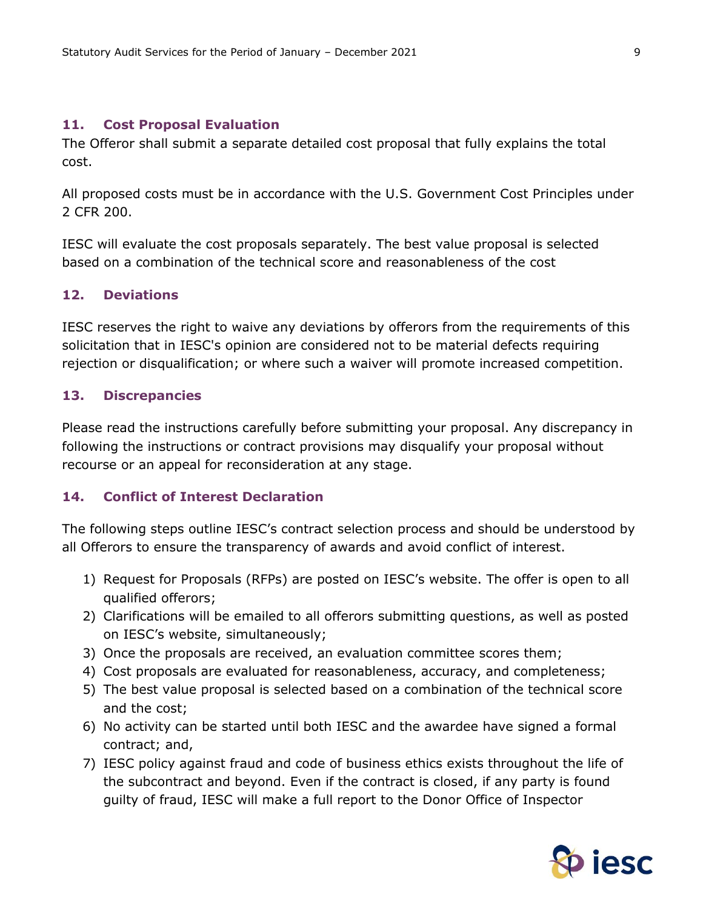#### **11. Cost Proposal Evaluation**

The Offeror shall submit a separate detailed cost proposal that fully explains the total cost.

All proposed costs must be in accordance with the U.S. Government Cost Principles under 2 CFR 200.

IESC will evaluate the cost proposals separately. The best value proposal is selected based on a combination of the technical score and reasonableness of the cost

#### **12. Deviations**

IESC reserves the right to waive any deviations by offerors from the requirements of this solicitation that in IESC's opinion are considered not to be material defects requiring rejection or disqualification; or where such a waiver will promote increased competition.

#### **13. Discrepancies**

Please read the instructions carefully before submitting your proposal. Any discrepancy in following the instructions or contract provisions may disqualify your proposal without recourse or an appeal for reconsideration at any stage.

#### **14. Conflict of Interest Declaration**

The following steps outline IESC's contract selection process and should be understood by all Offerors to ensure the transparency of awards and avoid conflict of interest.

- 1) Request for Proposals (RFPs) are posted on IESC's website. The offer is open to all qualified offerors;
- 2) Clarifications will be emailed to all offerors submitting questions, as well as posted on IESC's website, simultaneously;
- 3) Once the proposals are received, an evaluation committee scores them;
- 4) Cost proposals are evaluated for reasonableness, accuracy, and completeness;
- 5) The best value proposal is selected based on a combination of the technical score and the cost;
- 6) No activity can be started until both IESC and the awardee have signed a formal contract; and,
- 7) IESC policy against fraud and code of business ethics exists throughout the life of the subcontract and beyond. Even if the contract is closed, if any party is found guilty of fraud, IESC will make a full report to the Donor Office of Inspector